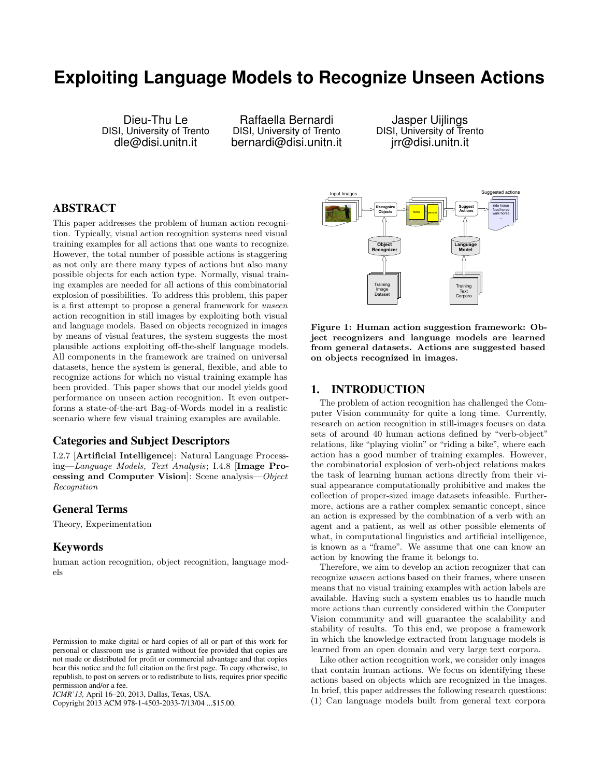# **Exploiting Language Models to Recognize Unseen Actions**

Dieu-Thu Le DISI, University of Trento dle@disi.unitn.it

Raffaella Bernardi DISI, University of Trento bernardi@disi.unitn.it

Jasper Uijlings DISI, University of Trento jrr@disi.unitn.it

# ABSTRACT

This paper addresses the problem of human action recognition. Typically, visual action recognition systems need visual training examples for all actions that one wants to recognize. However, the total number of possible actions is staggering as not only are there many types of actions but also many possible objects for each action type. Normally, visual training examples are needed for all actions of this combinatorial explosion of possibilities. To address this problem, this paper is a first attempt to propose a general framework for unseen action recognition in still images by exploiting both visual and language models. Based on objects recognized in images by means of visual features, the system suggests the most plausible actions exploiting off-the-shelf language models. All components in the framework are trained on universal datasets, hence the system is general, flexible, and able to recognize actions for which no visual training example has been provided. This paper shows that our model yields good performance on unseen action recognition. It even outperforms a state-of-the-art Bag-of-Words model in a realistic scenario where few visual training examples are available.

# Categories and Subject Descriptors

I.2.7 [Artificial Intelligence]: Natural Language Processing—Language Models, Text Analysis; I.4.8 [Image Processing and Computer Vision]: Scene analysis—Object Recognition

# General Terms

Theory, Experimentation

# Keywords

human action recognition, object recognition, language models

Copyright 2013 ACM 978-1-4503-2033-7/13/04 ...\$15.00.



Figure 1: Human action suggestion framework: Object recognizers and language models are learned from general datasets. Actions are suggested based on objects recognized in images.

# 1. INTRODUCTION

The problem of action recognition has challenged the Computer Vision community for quite a long time. Currently, research on action recognition in still-images focuses on data sets of around 40 human actions defined by "verb-object" relations, like "playing violin" or "riding a bike", where each action has a good number of training examples. However, the combinatorial explosion of verb-object relations makes the task of learning human actions directly from their visual appearance computationally prohibitive and makes the collection of proper-sized image datasets infeasible. Furthermore, actions are a rather complex semantic concept, since an action is expressed by the combination of a verb with an agent and a patient, as well as other possible elements of what, in computational linguistics and artificial intelligence, is known as a "frame". We assume that one can know an action by knowing the frame it belongs to.

Therefore, we aim to develop an action recognizer that can recognize unseen actions based on their frames, where unseen means that no visual training examples with action labels are available. Having such a system enables us to handle much more actions than currently considered within the Computer Vision community and will guarantee the scalability and stability of results. To this end, we propose a framework in which the knowledge extracted from language models is learned from an open domain and very large text corpora.

Like other action recognition work, we consider only images that contain human actions. We focus on identifying these actions based on objects which are recognized in the images. In brief, this paper addresses the following research questions: (1) Can language models built from general text corpora

Permission to make digital or hard copies of all or part of this work for personal or classroom use is granted without fee provided that copies are not made or distributed for profit or commercial advantage and that copies bear this notice and the full citation on the first page. To copy otherwise, to republish, to post on servers or to redistribute to lists, requires prior specific permission and/or a fee.

*ICMR'13,* April 16–20, 2013, Dallas, Texas, USA.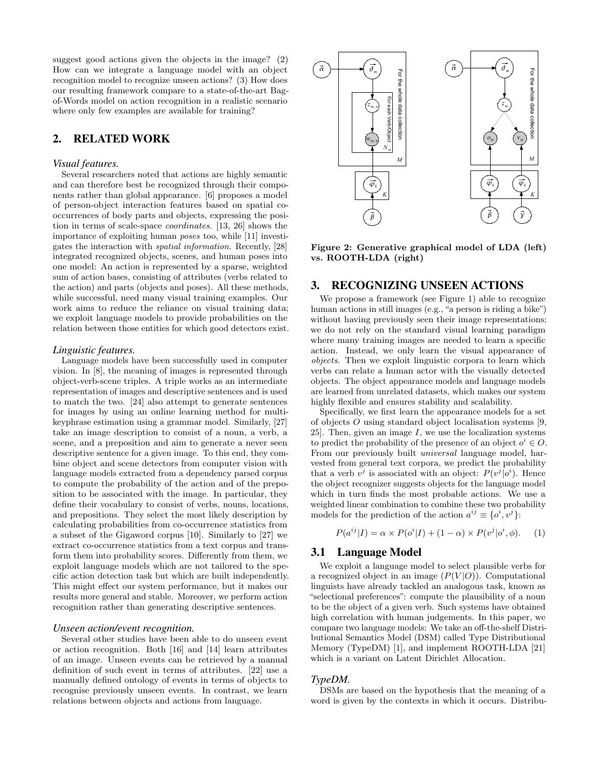suggest good actions given the objects in the image? (2) How can we integrate a language model with an object recognition model to recognize unseen actions? (3) How does our resulting framework compare to a state-of-the-art Bagof-Words model on action recognition in a realistic scenario where only few examples are available for training?

# 2. RELATED WORK

## *Visual features.*

Several researchers noted that actions are highly semantic and can therefore best be recognized through their components rather than global appearance. [6] proposes a model of person-object interaction features based on spatial cooccurrences of body parts and objects, expressing the position in terms of scale-space coordinates. [13, 26] shows the importance of exploiting human poses too, while [11] investigates the interaction with spatial information. Recently, [28] integrated recognized objects, scenes, and human poses into one model: An action is represented by a sparse, weighted sum of action bases, consisting of attributes (verbs related to the action) and parts (objects and poses). All these methods, while successful, need many visual training examples. Our work aims to reduce the reliance on visual training data; we exploit language models to provide probabilities on the relation between those entities for which good detectors exist.

## *Linguistic features.*

Language models have been successfully used in computer vision. In [8], the meaning of images is represented through object-verb-scene triples. A triple works as an intermediate representation of images and descriptive sentences and is used to match the two. [24] also attempt to generate sentences for images by using an online learning method for multikeyphrase estimation using a grammar model. Similarly, [27] take an image description to consist of a noun, a verb, a scene, and a preposition and aim to generate a never seen descriptive sentence for a given image. To this end, they combine object and scene detectors from computer vision with language models extracted from a dependency parsed corpus to compute the probability of the action and of the preposition to be associated with the image. In particular, they define their vocabulary to consist of verbs, nouns, locations, and prepositions. They select the most likely description by calculating probabilities from co-occurrence statistics from a subset of the Gigaword corpus [10]. Similarly to [27] we extract co-occurrence statistics from a text corpus and transform them into probability scores. Differently from them, we exploit language models which are not tailored to the specific action detection task but which are built independently. This might effect our system performance, but it makes our results more general and stable. Moreover, we perform action recognition rather than generating descriptive sentences.

#### *Unseen action/event recognition.*

Several other studies have been able to do unseen event or action recognition. Both [16] and [14] learn attributes of an image. Unseen events can be retrieved by a manual definition of such event in terms of attributes. [22] use a manually defined ontology of events in terms of objects to recognise previously unseen events. In contrast, we learn relations between objects and actions from language.



Figure 2: Generative graphical model of LDA (left) vs. ROOTH-LDA (right)

# 3. RECOGNIZING UNSEEN ACTIONS

We propose a framework (see Figure 1) able to recognize human actions in still images (e.g., "a person is riding a bike") without having previously seen their image representations; we do not rely on the standard visual learning paradigm where many training images are needed to learn a specific action. Instead, we only learn the visual appearance of objects. Then we exploit linguistic corpora to learn which verbs can relate a human actor with the visually detected objects. The object appearance models and language models are learned from unrelated datasets, which makes our system highly flexible and ensures stability and scalability.

Specifically, we first learn the appearance models for a set of objects O using standard object localisation systems [9, 25]. Then, given an image  $I$ , we use the localization systems to predict the probability of the presence of an object  $o^i \in O$ . From our previously built universal language model, harvested from general text corpora, we predict the probability that a verb  $v^j$  is associated with an object:  $P(v^j|o^i)$ . Hence the object recognizer suggests objects for the language model which in turn finds the most probable actions. We use a weighted linear combination to combine these two probability models for the prediction of the action  $a^{ij} \equiv \{o^i, v^j\}$ :

$$
P(a^{ij}|I) = \alpha \times P(o^i|I) + (1 - \alpha) \times P(v^j|o^i, \phi).
$$
 (1)

## 3.1 Language Model

We exploit a language model to select plausible verbs for a recognized object in an image  $(P(V|O))$ . Computational linguists have already tackled an analogous task, known as "selectional preferences": compute the plausibility of a noun to be the object of a given verb. Such systems have obtained high correlation with human judgements. In this paper, we compare two language models: We take an off-the-shelf Distributional Semantics Model (DSM) called Type Distributional Memory (TypeDM) [1], and implement ROOTH-LDA [21] which is a variant on Latent Dirichlet Allocation.

#### *TypeDM.*

DSMs are based on the hypothesis that the meaning of a word is given by the contexts in which it occurs. Distribu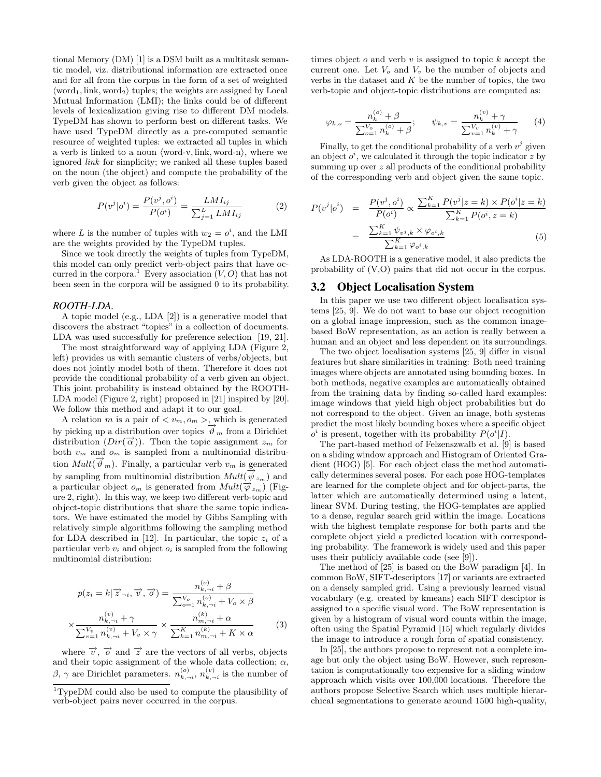tional Memory (DM) [1] is a DSM built as a multitask semantic model, viz. distributional information are extracted once and for all from the corpus in the form of a set of weighted  $\langle \text{word}_1, \text{link}, \text{word}_2 \rangle$  tuples; the weights are assigned by Local Mutual Information (LMI); the links could be of different levels of lexicalization giving rise to different DM models. TypeDM has shown to perform best on different tasks. We have used TypeDM directly as a pre-computed semantic resource of weighted tuples: we extracted all tuples in which a verb is linked to a noun  $\langle \text{word-v}, \text{link}, \text{word-n} \rangle$ , where we ignored link for simplicity; we ranked all these tuples based on the noun (the object) and compute the probability of the verb given the object as follows:

$$
P(v^{j}|o^{i}) = \frac{P(v^{j}, o^{i})}{P(o^{i})} = \frac{LMI_{ij}}{\sum_{j=1}^{L} LMI_{ij}}
$$
(2)

where L is the number of tuples with  $w_2 = o^i$ , and the LMI are the weights provided by the TypeDM tuples.

Since we took directly the weights of tuples from TypeDM, this model can only predict verb-object pairs that have occurred in the corpora.<sup>1</sup> Every association  $(V, O)$  that has not been seen in the corpora will be assigned 0 to its probability.

#### *ROOTH-LDA.*

A topic model (e.g., LDA [2]) is a generative model that discovers the abstract "topics" in a collection of documents. LDA was used successfully for preference selection [19, 21].

The most straightforward way of applying LDA (Figure 2, left) provides us with semantic clusters of verbs/objects, but does not jointly model both of them. Therefore it does not provide the conditional probability of a verb given an object. This joint probability is instead obtained by the ROOTH-LDA model (Figure 2, right) proposed in [21] inspired by [20]. We follow this method and adapt it to our goal.

A relation m is a pair of  $\langle v_m, o_m \rangle$ , which is generated by picking up a distribution over topics  $\vec{\theta}_m$  from a Dirichlet distribution  $(Dir(\vec{\alpha}))$ . Then the topic assignment  $z_m$  for both  $v_m$  and  $o_m$  is sampled from a multinomial distribution  $Mult(\vec{\theta}_m)$ . Finally, a particular verb  $v_m$  is generated by sampling from multinomial distribution  $Mult(\vec{\psi}_{z_m})$  and a particular object  $o_m$  is generated from  $Mult(\overrightarrow{\varphi}_{zm})$  (Figure 2, right). In this way, we keep two different verb-topic and object-topic distributions that share the same topic indicators. We have estimated the model by Gibbs Sampling with relatively simple algorithms following the sampling method for LDA described in [12]. In particular, the topic  $z_i$  of a particular verb  $v_i$  and object  $o_i$  is sampled from the following multinomial distribution:

$$
p(z_i = k | \overrightarrow{z}_{\neg i}, \overrightarrow{v}, \overrightarrow{\sigma}) = \frac{n_{k, \neg i}^{(o)} + \beta}{\sum_{o=1}^{V_o} n_{k, \neg i}^{(o)} + V_o \times \beta}
$$

$$
\times \frac{n_{k, \neg i}^{(v)} + \gamma}{\sum_{v=1}^{V_v} n_{k, \neg i}^{(v)} + V_v \times \gamma} \times \frac{n_{m, \neg i}^{(k)} + \alpha}{\sum_{k=1}^{K} n_{m, \neg i}^{(k)} + K \times \alpha}
$$
(3)

where  $\vec{v}$ ,  $\vec{o}$  and  $\vec{z}$  are the vectors of all verbs, objects and their topic assignment of the whole data collection;  $\alpha$ , β, γ are Dirichlet parameters.  $n_{k, \neg i}^{(o)}$ ,  $n_{k, \neg i}^{(v)}$  is the number of

times object  $o$  and verb  $v$  is assigned to topic  $k$  accept the current one. Let  $V_o$  and  $V_v$  be the number of objects and verbs in the dataset and  $K$  be the number of topics, the two verb-topic and object-topic distributions are computed as:

$$
\varphi_{k,o} = \frac{n_k^{(o)} + \beta}{\sum_{o=1}^{V_o} n_k^{(o)} + \beta}; \qquad \psi_{k,v} = \frac{n_k^{(v)} + \gamma}{\sum_{v=1}^{V_v} n_k^{(v)} + \gamma}
$$
(4)

Finally, to get the conditional probability of a verb  $v^j$  given an object  $o^i$ , we calculated it through the topic indicator z by summing up over  $z$  all products of the conditional probability of the corresponding verb and object given the same topic.

$$
P(v^{j}|o^{i}) = \frac{P(v^{j}, o^{i})}{P(o^{i})} \propto \frac{\sum_{k=1}^{K} P(v^{j}|z=k) \times P(o^{i}|z=k)}{\sum_{k=1}^{K} P(o^{i}, z=k)} = \frac{\sum_{k=1}^{K} \psi_{v^{j}, k} \times \varphi_{o^{i}, k}}{\sum_{k=1}^{K} \varphi_{o^{i}, k}}
$$
(5)

As LDA-ROOTH is a generative model, it also predicts the probability of (V,O) pairs that did not occur in the corpus.

### 3.2 Object Localisation System

In this paper we use two different object localisation systems [25, 9]. We do not want to base our object recognition on a global image impression, such as the common imagebased BoW representation, as an action is really between a human and an object and less dependent on its surroundings.

The two object localisation systems [25, 9] differ in visual features but share similarities in training: Both need training images where objects are annotated using bounding boxes. In both methods, negative examples are automatically obtained from the training data by finding so-called hard examples: image windows that yield high object probabilities but do not correspond to the object. Given an image, both systems predict the most likely bounding boxes where a specific object  $\overline{o}^i$  is present, together with its probability  $P(\overline{o}^i|I)$ .

The part-based method of Felzenszwalb et al. [9] is based on a sliding window approach and Histogram of Oriented Gradient (HOG) [5]. For each object class the method automatically determines several poses. For each pose HOG-templates are learned for the complete object and for object-parts, the latter which are automatically determined using a latent, linear SVM. During testing, the HOG-templates are applied to a dense, regular search grid within the image. Locations with the highest template response for both parts and the complete object yield a predicted location with corresponding probability. The framework is widely used and this paper uses their publicly available code (see [9]).

The method of [25] is based on the BoW paradigm [4]. In common BoW, SIFT-descriptors [17] or variants are extracted on a densely sampled grid. Using a previously learned visual vocabulary (e.g. created by kmeans) each SIFT desciptor is assigned to a specific visual word. The BoW representation is given by a histogram of visual word counts within the image, often using the Spatial Pyramid [15] which regularly divides the image to introduce a rough form of spatial consistency.

In [25], the authors propose to represent not a complete image but only the object using BoW. However, such representation is computationally too expensive for a sliding window approach which visits over 100,000 locations. Therefore the authors propose Selective Search which uses multiple hierarchical segmentations to generate around 1500 high-quality,

<sup>1</sup>TypeDM could also be used to compute the plausibility of verb-object pairs never occurred in the corpus.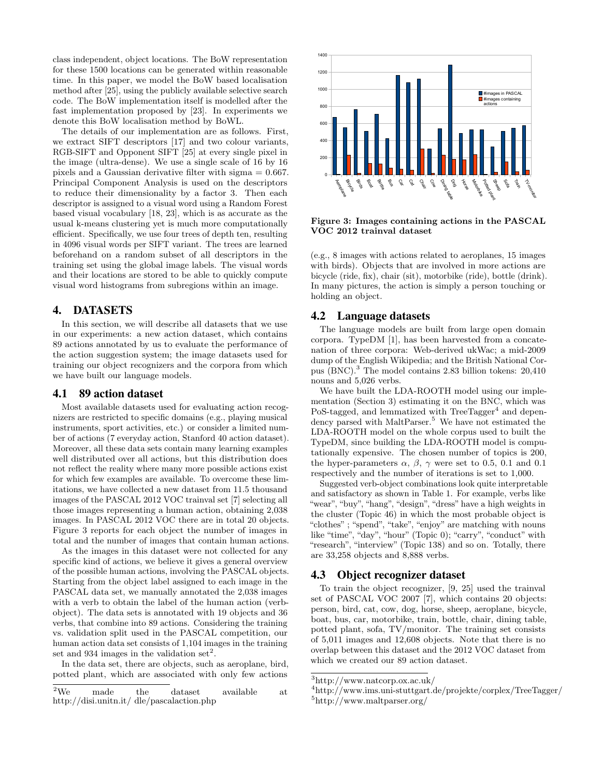class independent, object locations. The BoW representation for these 1500 locations can be generated within reasonable time. In this paper, we model the BoW based localisation method after [25], using the publicly available selective search code. The BoW implementation itself is modelled after the fast implementation proposed by [23]. In experiments we denote this BoW localisation method by BoWL.

The details of our implementation are as follows. First, we extract SIFT descriptors [17] and two colour variants, RGB-SIFT and Opponent SIFT [25] at every single pixel in the image (ultra-dense). We use a single scale of 16 by 16 pixels and a Gaussian derivative filter with sigma = 0.667. Principal Component Analysis is used on the descriptors to reduce their dimensionality by a factor 3. Then each descriptor is assigned to a visual word using a Random Forest based visual vocabulary [18, 23], which is as accurate as the usual k-means clustering yet is much more computationally efficient. Specifically, we use four trees of depth ten, resulting in 4096 visual words per SIFT variant. The trees are learned beforehand on a random subset of all descriptors in the training set using the global image labels. The visual words and their locations are stored to be able to quickly compute visual word histograms from subregions within an image.

## 4. DATASETS

In this section, we will describe all datasets that we use in our experiments: a new action dataset, which contains 89 actions annotated by us to evaluate the performance of the action suggestion system; the image datasets used for training our object recognizers and the corpora from which we have built our language models.

## 4.1 89 action dataset

Most available datasets used for evaluating action recognizers are restricted to specific domains (e.g., playing musical instruments, sport activities, etc.) or consider a limited number of actions (7 everyday action, Stanford 40 action dataset). Moreover, all these data sets contain many learning examples well distributed over all actions, but this distribution does not reflect the reality where many more possible actions exist for which few examples are available. To overcome these limitations, we have collected a new dataset from 11.5 thousand images of the PASCAL 2012 VOC trainval set [7] selecting all those images representing a human action, obtaining 2,038 images. In PASCAL 2012 VOC there are in total 20 objects. Figure 3 reports for each object the number of images in total and the number of images that contain human actions.

As the images in this dataset were not collected for any specific kind of actions, we believe it gives a general overview of the possible human actions, involving the PASCAL objects. Starting from the object label assigned to each image in the PASCAL data set, we manually annotated the 2,038 images with a verb to obtain the label of the human action (verbobject). The data sets is annotated with 19 objects and 36 verbs, that combine into 89 actions. Considering the training vs. validation split used in the PASCAL competition, our human action data set consists of 1,104 images in the training set and 934 images in the validation set<sup>2</sup>.

In the data set, there are objects, such as aeroplane, bird, potted plant, which are associated with only few actions



Figure 3: Images containing actions in the PASCAL VOC 2012 trainval dataset

(e.g., 8 images with actions related to aeroplanes, 15 images with birds). Objects that are involved in more actions are bicycle (ride, fix), chair (sit), motorbike (ride), bottle (drink). In many pictures, the action is simply a person touching or holding an object.

## 4.2 Language datasets

The language models are built from large open domain corpora. TypeDM [1], has been harvested from a concatenation of three corpora: Web-derived ukWac; a mid-2009 dump of the English Wikipedia; and the British National Corpus (BNC).<sup>3</sup> The model contains 2.83 billion tokens: 20,410 nouns and 5,026 verbs.

dency parsed with MaltParser.<sup>5</sup> We have not estimated the We have built the LDA-ROOTH model using our implementation (Section 3) estimating it on the BNC, which was PoS-tagged, and lemmatized with TreeTagger<sup>4</sup> and depen-LDA-ROOTH model on the whole corpus used to built the TypeDM, since building the LDA-ROOTH model is computationally expensive. The chosen number of topics is 200, the hyper-parameters  $\alpha$ ,  $\beta$ ,  $\gamma$  were set to 0.5, 0.1 and 0.1 respectively and the number of iterations is set to 1,000.

Suggested verb-object combinations look quite interpretable and satisfactory as shown in Table 1. For example, verbs like "wear", "buy", "hang", "design", "dress" have a high weights in the cluster (Topic 46) in which the most probable object is "clothes" ; "spend", "take", "enjoy" are matching with nouns like "time", "day", "hour" (Topic 0); "carry", "conduct" with "research", "interview" (Topic 138) and so on. Totally, there are 33,258 objects and 8,888 verbs.

## 4.3 Object recognizer dataset

To train the object recognizer, [9, 25] used the trainval set of PASCAL VOC 2007 [7], which contains 20 objects: person, bird, cat, cow, dog, horse, sheep, aeroplane, bicycle, boat, bus, car, motorbike, train, bottle, chair, dining table, potted plant, sofa, TV/monitor. The training set consists of 5,011 images and 12,608 objects. Note that there is no overlap between this dataset and the 2012 VOC dataset from which we created our 89 action dataset.

<sup>2</sup>We made the dataset available at http://disi.unitn.it/ dle/pascalaction.php

<sup>3</sup>http://www.natcorp.ox.ac.uk/

<sup>4</sup>http://www.ims.uni-stuttgart.de/projekte/corplex/TreeTagger/ <sup>5</sup>http://www.maltparser.org/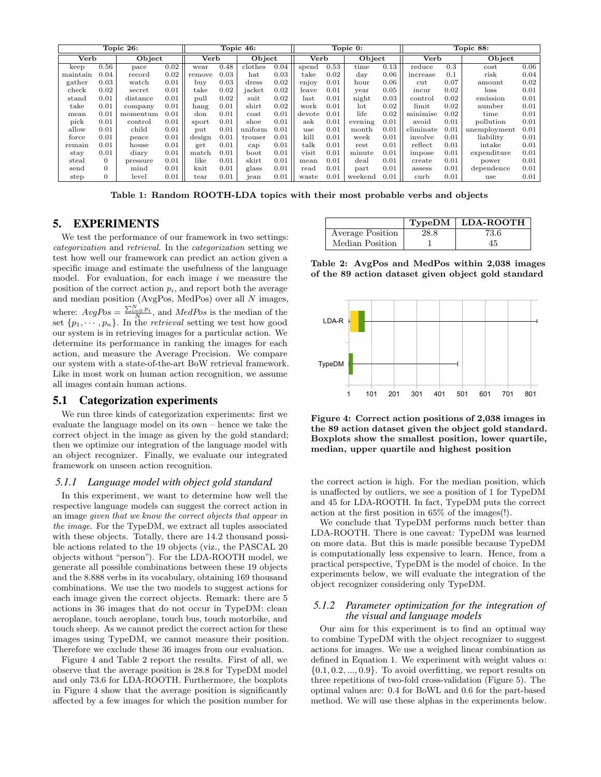| Topic 26: |          |          |      | Topic 46:     |      |              | Topic 0:  |               |      | Topic 88:     |      |           |      |              |      |
|-----------|----------|----------|------|---------------|------|--------------|-----------|---------------|------|---------------|------|-----------|------|--------------|------|
| Verb      |          | Object   |      | <b>Verb</b>   |      | Object       |           | Verb          |      | Object        |      | Verb      |      | Object       |      |
| keep      | 0.56     | pace     | 0.02 | wear          | 0.48 | clothes      | 0.04      | spend         | 0.53 | time          | 0.13 | reduce    | 0.3  | cost         | 0.06 |
| maintain  | 0.04     | record   | 0.02 | remove        | 0.03 | $_{\rm hat}$ | 0.03      | take          | 0.02 | $_{\rm{day}}$ | 0.06 | increase  | 0.1  | risk         | 0.04 |
| gather    | 0.03     | watch    | 0.01 | buy           | 0.03 | dress        | 0.02      | enjoy         | 0.01 | hour          | 0.06 | cut       | 0.07 | amount       | 0.02 |
| check     | 0.02     | secret   | 0.01 | $_{\rm take}$ | 0.02 | jacket       | 0.02      | leave         | 0.01 | vear          | 0.05 | incur     | 0.02 | loss         | 0.01 |
| stand     | 0.01     | distance | 0.01 | pull          | 0.02 | suit         | 0.02      | last          | 0.01 | night         | 0.03 | control   | 0.02 | emission     | 0.01 |
| take      | 0.01     | company  | 0.01 | hang          | 0.01 | shirt        | 0.02      | work          | 0.01 | lot.          | 0.02 | limit     | 0.02 | number       | 0.01 |
| mean      | 0.01     | momentum | 0.01 | don           | 0.01 | coat         | 0.01      | devote        | 0.01 | life          | 0.02 | minimise  | 0.02 | time         | 0.01 |
| pick      | 0.01     | control  | 0.01 | sport         | 0.01 | shoe         | 0.01      | ask           | 0.01 | evening       | 0.01 | avoid     | 0.01 | pollution    | 0.01 |
| allow     | 0.01     | child    | 0.01 | put           | 0.01 | uniform      | 0.01      | use           | 0.01 | month         | 0.01 | eliminate | 0.01 | unemployment | 0.01 |
| force     | 0.01     | peace    | 0.01 | design        | 0.01 | trouser      | 0.01      | kill          | 0.01 | week          | 0.01 | involve   | 0.01 | liability    | 0.01 |
| remain    | 0.01     | house    | 0.01 | get           | 0.01 | cap          | 0.01      | $_{\rm talk}$ | 0.01 | rest          | 0.01 | reflect   | 0.01 | intake       | 0.01 |
| stay      | 0.01     | diary    | 0.01 | match         | 0.01 | boot         | 0.01      | visit         | 0.01 | minute        | 0.01 | impose    | 0.01 | expenditure  | 0.01 |
| steal     | $\Omega$ | pressure | 0.01 | like          | 0.01 | skirt        | 0.01      | mean          | 0.01 | $_{\rm deal}$ | 0.01 | create    | 0.01 | power        | 0.01 |
| send      | $\Omega$ | mind     | 0.01 | knit          | 0.01 | glass        | 0.01      | read          | 0.01 | part          | 0.01 | assess    | 0.01 | dependence   | 0.01 |
| step      | $\theta$ | level    | 0.01 | $_{\rm tear}$ | 0.01 | jean         | $_{0.01}$ | waste         | 0.01 | weekend       | 0.01 | curb      | 0.01 | use          | 0.01 |

Table 1: Random ROOTH-LDA topics with their most probable verbs and objects

# 5. EXPERIMENTS

We test the performance of our framework in two settings: categorization and retrieval. In the categorization setting we test how well our framework can predict an action given a specific image and estimate the usefulness of the language model. For evaluation, for each image  $i$  we measure the position of the correct action  $p_i$ , and report both the average and median position (AvgPos, MedPos) over all N images, where:  $AvgPos = \frac{\sum_{i=0}^{N} p_i}{N}$ , and  $MedPos$  is the median of the set  $\{p_1, \dots, p_n\}$ . In the *retrieval* setting we test how good our system is in retrieving images for a particular action. We determine its performance in ranking the images for each action, and measure the Average Precision. We compare our system with a state-of-the-art BoW retrieval framework. Like in most work on human action recognition, we assume all images contain human actions.

## 5.1 Categorization experiments

We run three kinds of categorization experiments: first we evaluate the language model on its own – hence we take the correct object in the image as given by the gold standard; then we optimize our integration of the language model with an object recognizer. Finally, we evaluate our integrated framework on unseen action recognition.

## *5.1.1 Language model with object gold standard*

In this experiment, we want to determine how well the respective language models can suggest the correct action in an image given that we know the correct objects that appear in the image. For the TypeDM, we extract all tuples associated with these objects. Totally, there are  $14.2$  thousand possible actions related to the 19 objects (viz., the PASCAL 20 objects without "person"). For the LDA-ROOTH model, we generate all possible combinations between these 19 objects and the 8.888 verbs in its vocabulary, obtaining 169 thousand combinations. We use the two models to suggest actions for each image given the correct objects. Remark: there are 5 actions in 36 images that do not occur in TypeDM: clean aeroplane, touch aeroplane, touch bus, touch motorbike, and touch sheep. As we cannot predict the correct action for these images using TypeDM, we cannot measure their position. Therefore we exclude these 36 images from our evaluation.

Figure 4 and Table 2 report the results. First of all, we observe that the average position is 28.8 for TypeDM model and only 73.6 for LDA-ROOTH. Furthermore, the boxplots in Figure 4 show that the average position is significantly affected by a few images for which the position number for

|                  |      | $TypeDM   LDA-ROOTH$ |
|------------------|------|----------------------|
| Average Position | 28.8 | 73.6                 |
| Median Position  |      | 45                   |

Table 2: AvgPos and MedPos within 2,038 images of the 89 action dataset given object gold standard



Figure 4: Correct action positions of 2,038 images in the 89 action dataset given the object gold standard. Boxplots show the smallest position, lower quartile, median, upper quartile and highest position

the correct action is high. For the median position, which is unaffected by outliers, we see a position of 1 for TypeDM and 45 for LDA-ROOTH. In fact, TypeDM puts the correct action at the first position in 65% of the images(!).

We conclude that TypeDM performs much better than LDA-ROOTH. There is one caveat: TypeDM was learned on more data. But this is made possible because TypeDM is computationally less expensive to learn. Hence, from a practical perspective, TypeDM is the model of choice. In the experiments below, we will evaluate the integration of the object recognizer considering only TypeDM.

## *5.1.2 Parameter optimization for the integration of the visual and language models*

Our aim for this experiment is to find an optimal way to combine TypeDM with the object recognizer to suggest actions for images. We use a weighed linear combination as defined in Equation 1. We experiment with weight values  $\alpha$ :  $\{0.1, 0.2, \ldots, 0.9\}$ . To avoid overfitting, we report results on three repetitions of two-fold cross-validation (Figure 5). The optimal values are: 0.4 for BoWL and 0.6 for the part-based method. We will use these alphas in the experiments below.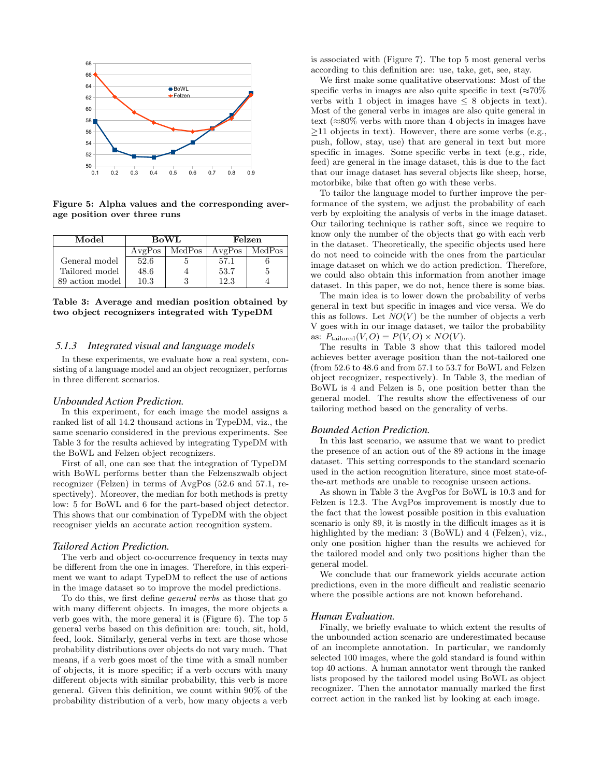

Figure 5: Alpha values and the corresponding average position over three runs

| Model           |        | BoWL   | Felzen |        |  |  |
|-----------------|--------|--------|--------|--------|--|--|
|                 | AvgPos | MedPos | AvgPos | MedPos |  |  |
| General model   | 52.6   |        | 57.1   |        |  |  |
| Tailored model  | 48.6   |        | 53.7   |        |  |  |
| 89 action model | 10.3   |        | 12.3   |        |  |  |

Table 3: Average and median position obtained by two object recognizers integrated with TypeDM

## *5.1.3 Integrated visual and language models*

In these experiments, we evaluate how a real system, consisting of a language model and an object recognizer, performs in three different scenarios.

#### *Unbounded Action Prediction.*

 ranked list of all 14.2 thousand actions in TypeDM, viz., the In this experiment, for each image the model assigns a same scenario considered in the previous experiments. See Table 3 for the results achieved by integrating TypeDM with the BoWL and Felzen object recognizers.

First of all, one can see that the integration of TypeDM with BoWL performs better than the Felzenszwalb object recognizer (Felzen) in terms of AvgPos (52.6 and 57.1, respectively). Moreover, the median for both methods is pretty low: 5 for BoWL and 6 for the part-based object detector. This shows that our combination of TypeDM with the object recogniser yields an accurate action recognition system.

#### *Tailored Action Prediction.*

The verb and object co-occurrence frequency in texts may be different from the one in images. Therefore, in this experiment we want to adapt TypeDM to reflect the use of actions in the image dataset so to improve the model predictions.

To do this, we first define general verbs as those that go with many different objects. In images, the more objects a verb goes with, the more general it is (Figure 6). The top 5 general verbs based on this definition are: touch, sit, hold, feed, look. Similarly, general verbs in text are those whose probability distributions over objects do not vary much. That means, if a verb goes most of the time with a small number of objects, it is more specific; if a verb occurs with many different objects with similar probability, this verb is more general. Given this definition, we count within 90% of the probability distribution of a verb, how many objects a verb

is associated with (Figure 7). The top 5 most general verbs according to this definition are: use, take, get, see, stay.

We first make some qualitative observations: Most of the specific verbs in images are also quite specific in text ( $\approx 70\%$ ) verbs with 1 object in images have  $\leq 8$  objects in text). Most of the general verbs in images are also quite general in text ( $\approx 80\%$  verbs with more than 4 objects in images have  $\geq$ 11 objects in text). However, there are some verbs (e.g., push, follow, stay, use) that are general in text but more specific in images. Some specific verbs in text (e.g., ride, feed) are general in the image dataset, this is due to the fact that our image dataset has several objects like sheep, horse, motorbike, bike that often go with these verbs.

To tailor the language model to further improve the performance of the system, we adjust the probability of each verb by exploiting the analysis of verbs in the image dataset. Our tailoring technique is rather soft, since we require to know only the number of the objects that go with each verb in the dataset. Theoretically, the specific objects used here do not need to coincide with the ones from the particular image dataset on which we do action prediction. Therefore, we could also obtain this information from another image dataset. In this paper, we do not, hence there is some bias.

The main idea is to lower down the probability of verbs general in text but specific in images and vice versa. We do this as follows. Let  $NO(V)$  be the number of objects a verb V goes with in our image dataset, we tailor the probability as:  $P_{\text{tailored}}(V, O) = P(V, O) \times NO(V)$ .

The results in Table 3 show that this tailored model achieves better average position than the not-tailored one (from 52.6 to 48.6 and from 57.1 to 53.7 for BoWL and Felzen object recognizer, respectively). In Table 3, the median of BoWL is 4 and Felzen is 5, one position better than the general model. The results show the effectiveness of our tailoring method based on the generality of verbs.

#### *Bounded Action Prediction.*

In this last scenario, we assume that we want to predict the presence of an action out of the 89 actions in the image dataset. This setting corresponds to the standard scenario used in the action recognition literature, since most state-ofthe-art methods are unable to recognise unseen actions.

As shown in Table 3 the AvgPos for BoWL is 10.3 and for Felzen is 12.3. The AvgPos improvement is mostly due to the fact that the lowest possible position in this evaluation scenario is only 89, it is mostly in the difficult images as it is highlighted by the median: 3 (BoWL) and 4 (Felzen), viz., only one position higher than the results we achieved for the tailored model and only two positions higher than the general model.

We conclude that our framework yields accurate action predictions, even in the more difficult and realistic scenario where the possible actions are not known beforehand.

#### *Human Evaluation.*

Finally, we briefly evaluate to which extent the results of the unbounded action scenario are underestimated because of an incomplete annotation. In particular, we randomly selected 100 images, where the gold standard is found within top 40 actions. A human annotator went through the ranked lists proposed by the tailored model using BoWL as object recognizer. Then the annotator manually marked the first correct action in the ranked list by looking at each image.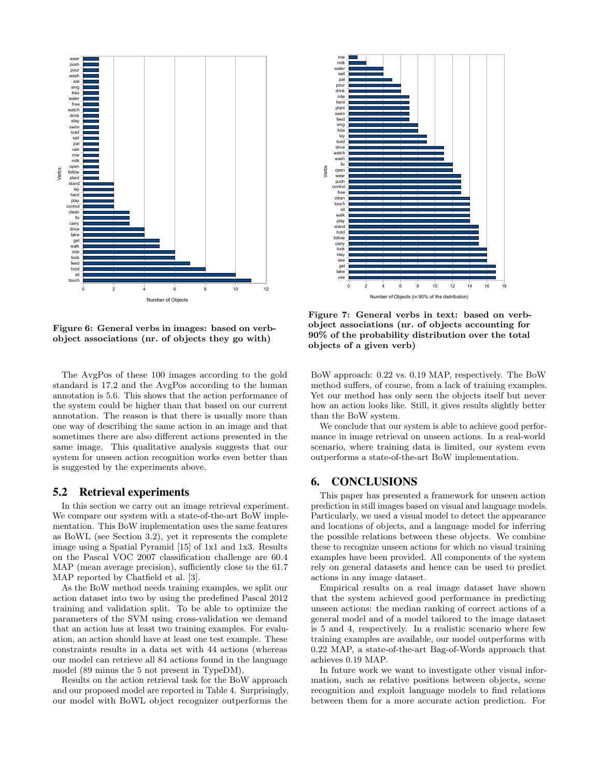

Figure 6: General verbs in images: based on verbobject associations (nr. of objects they go with)

 sometimes there are also different actions presented in the The AvgPos of these 100 images according to the gold standard is 17.2 and the AvgPos according to the human annotation is 5.6. This shows that the action performance of the system could be higher than that based on our current annotation. The reason is that there is usually more than one way of describing the same action in an image and that same image. This qualitative analysis suggests that our system for unseen action recognition works even better than is suggested by the experiments above.

## 5.2 Retrieval experiments

In this section we carry out an image retrieval experiment. We compare our system with a state-of-the-art BoW implementation. This BoW implementation uses the same features as BoWL (see Section 3.2), yet it represents the complete image using a Spatial Pyramid [15] of 1x1 and 1x3. Results on the Pascal VOC 2007 classification challenge are 60.4 MAP (mean average precision), sufficiently close to the 61.7 MAP reported by Chatfield et al. [3].

As the BoW method needs training examples, we split our action dataset into two by using the predefined Pascal 2012 training and validation split. To be able to optimize the parameters of the SVM using cross-validation we demand that an action has at least two training examples. For evaluation, an action should have at least one test example. These constraints results in a data set with 44 actions (whereas our model can retrieve all 84 actions found in the language model (89 minus the 5 not present in TypeDM).

Results on the action retrieval task for the BoW approach and our proposed model are reported in Table 4. Surprisingly, our model with BoWL object recognizer outperforms the



Figure 7: General verbs in text: based on verbobject associations (nr. of objects accounting for 90% of the probability distribution over the total objects of a given verb)

BoW approach: 0.22 vs. 0.19 MAP, respectively. The BoW method suffers, of course, from a lack of training examples. Yet our method has only seen the objects itself but never how an action looks like. Still, it gives results slightly better than the BoW system.

 We conclude that our system is able to achieve good performance in image retrieval on unseen actions. In a real-world scenario, where training data is limited, our system even outperforms a state-of-the-art BoW implementation.

## 6. CONCLUSIONS

This paper has presented a framework for unseen action prediction in still images based on visual and language models. Particularly, we used a visual model to detect the appearance and locations of objects, and a language model for inferring the possible relations between these objects. We combine these to recognize unseen actions for which no visual training examples have been provided. All components of the system rely on general datasets and hence can be used to predict actions in any image dataset.

Empirical results on a real image dataset have shown that the system achieved good performance in predicting unseen actions: the median ranking of correct actions of a general model and of a model tailored to the image dataset is 5 and 4, respectively. In a realistic scenario where few training examples are available, our model outperforms with 0.22 MAP, a state-of-the-art Bag-of-Words approach that achieves 0.19 MAP.

In future work we want to investigate other visual information, such as relative positions between objects, scene recognition and exploit language models to find relations between them for a more accurate action prediction. For